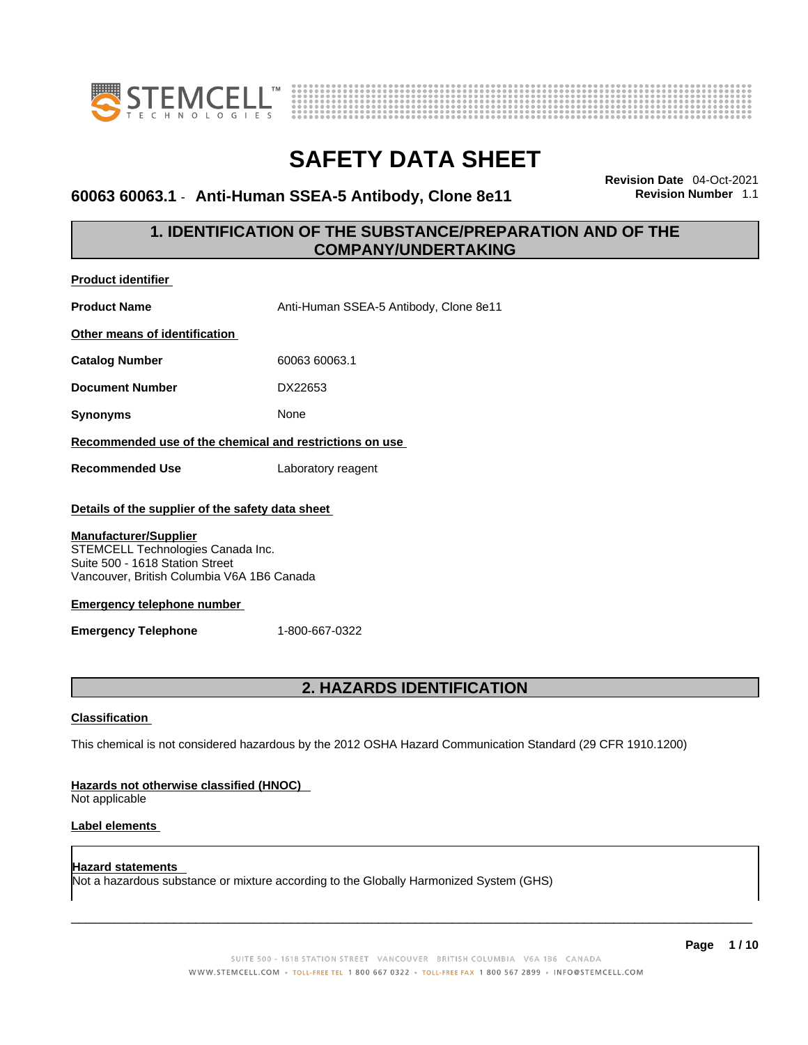



### **60063 60063.1** - **Anti-Human SSEA-5 Antibody, Clone 8e11 Revision Number** 1.1

**Revision Date** 04-Oct-2021

### **1. IDENTIFICATION OF THE SUBSTANCE/PREPARATION AND OF THE COMPANY/UNDERTAKING**

| <b>Product identifier</b>                                                                                                                                                                                                                                                                   |                                        |  |
|---------------------------------------------------------------------------------------------------------------------------------------------------------------------------------------------------------------------------------------------------------------------------------------------|----------------------------------------|--|
| <b>Product Name</b>                                                                                                                                                                                                                                                                         | Anti-Human SSEA-5 Antibody, Clone 8e11 |  |
| Other means of identification                                                                                                                                                                                                                                                               |                                        |  |
| <b>Catalog Number</b>                                                                                                                                                                                                                                                                       | 60063 60063.1                          |  |
| <b>Document Number</b>                                                                                                                                                                                                                                                                      | DX22653                                |  |
| <b>Synonyms</b>                                                                                                                                                                                                                                                                             | None                                   |  |
| Recommended use of the chemical and restrictions on use                                                                                                                                                                                                                                     |                                        |  |
| <b>Recommended Use</b>                                                                                                                                                                                                                                                                      | Laboratory reagent                     |  |
| Details of the supplier of the safety data sheet<br><b>Manufacturer/Supplier</b><br>STEMCELL Technologies Canada Inc.<br>Suite 500 - 1618 Station Street<br>Vancouver, British Columbia V6A 1B6 Canada<br><b>Emergency telephone number</b><br><b>Emergency Telephone</b><br>1-800-667-0322 |                                        |  |
| <b>2. HAZARDS IDENTIFICATION</b>                                                                                                                                                                                                                                                            |                                        |  |
| <b>Classification</b>                                                                                                                                                                                                                                                                       |                                        |  |
| This chemical is not considered hazardous by the 2012 OSHA Hazard Communication Standard (29 CFR 1910.1200)                                                                                                                                                                                 |                                        |  |
| Hazards not otherwise classified (HNOC)<br>Not applicable                                                                                                                                                                                                                                   |                                        |  |
| <b>Label elements</b>                                                                                                                                                                                                                                                                       |                                        |  |

**Hazard statements**  Not a hazardous substance or mixture according to the Globally Harmonized System (GHS)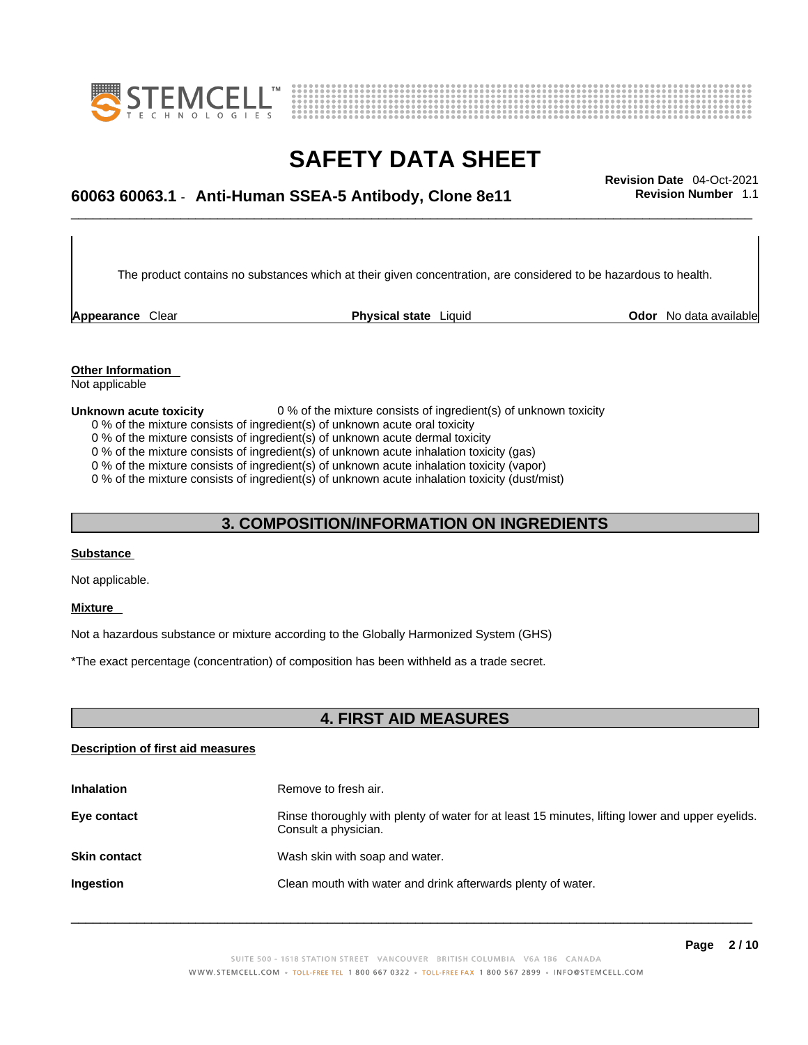



## \_\_\_\_\_\_\_\_\_\_\_\_\_\_\_\_\_\_\_\_\_\_\_\_\_\_\_\_\_\_\_\_\_\_\_\_\_\_\_\_\_\_\_\_\_\_\_\_\_\_\_\_\_\_\_\_\_\_\_\_\_\_\_\_\_\_\_\_\_\_\_\_\_\_\_\_\_\_\_\_\_\_\_\_\_\_\_\_\_\_\_\_\_ **Revision Date** 04-Oct-2021 **60063 60063.1** - **Anti-Human SSEA-5 Antibody, Clone 8e11 Revision Number** 1.1

The product contains no substances which at their given concentration, are considered to be hazardous to health.

**Appearance** Clear **Physical state** Liquid

**Odor** No data available

**Other Information**  Not applicable

#### **Unknown acute toxicity** 0 % of the mixture consists of ingredient(s) of unknown toxicity

0 % of the mixture consists of ingredient(s) of unknown acute oral toxicity

0 % of the mixture consists of ingredient(s) of unknown acute dermal toxicity

0 % of the mixture consists of ingredient(s) of unknown acute inhalation toxicity (gas)

0 % of the mixture consists of ingredient(s) of unknown acute inhalation toxicity (vapor)

0 % of the mixture consists of ingredient(s) of unknown acute inhalation toxicity (dust/mist)

### **3. COMPOSITION/INFORMATION ON INGREDIENTS**

#### **Substance**

Not applicable.

#### **Mixture**

Not a hazardous substance or mixture according to the Globally Harmonized System (GHS)

\*The exact percentage (concentration) of composition has been withheld as a trade secret.

### **4. FIRST AID MEASURES**

#### **Description of first aid measures**

| <b>Inhalation</b>   | Remove to fresh air.                                                                                                    |
|---------------------|-------------------------------------------------------------------------------------------------------------------------|
| Eye contact         | Rinse thoroughly with plenty of water for at least 15 minutes, lifting lower and upper eyelids.<br>Consult a physician. |
| <b>Skin contact</b> | Wash skin with soap and water.                                                                                          |
| Ingestion           | Clean mouth with water and drink afterwards plenty of water.                                                            |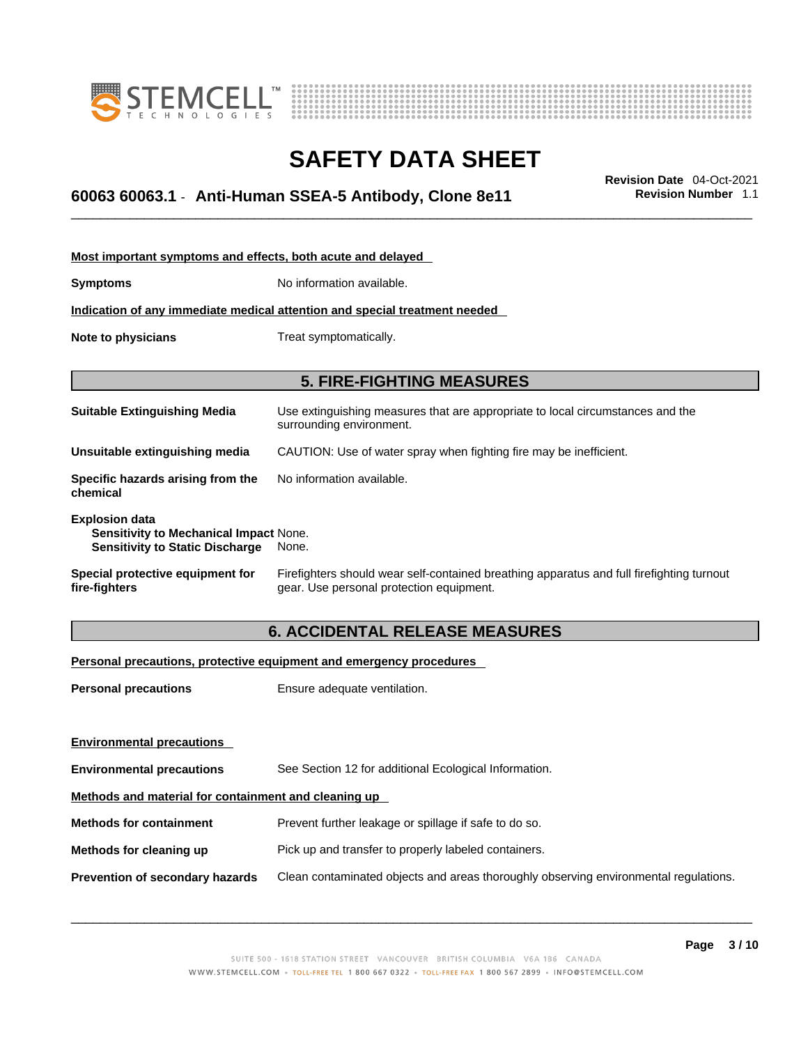



## \_\_\_\_\_\_\_\_\_\_\_\_\_\_\_\_\_\_\_\_\_\_\_\_\_\_\_\_\_\_\_\_\_\_\_\_\_\_\_\_\_\_\_\_\_\_\_\_\_\_\_\_\_\_\_\_\_\_\_\_\_\_\_\_\_\_\_\_\_\_\_\_\_\_\_\_\_\_\_\_\_\_\_\_\_\_\_\_\_\_\_\_\_ **Revision Date** 04-Oct-2021 **60063 60063.1** - **Anti-Human SSEA-5 Antibody, Clone 8e11 Revision Number** 1.1

| Most important symptoms and effects, both acute and delayed                                                      |                                                                                                                                       |  |
|------------------------------------------------------------------------------------------------------------------|---------------------------------------------------------------------------------------------------------------------------------------|--|
| <b>Symptoms</b>                                                                                                  | No information available.                                                                                                             |  |
|                                                                                                                  | Indication of any immediate medical attention and special treatment needed                                                            |  |
| Note to physicians                                                                                               | Treat symptomatically.                                                                                                                |  |
|                                                                                                                  |                                                                                                                                       |  |
|                                                                                                                  | <b>5. FIRE-FIGHTING MEASURES</b>                                                                                                      |  |
| <b>Suitable Extinguishing Media</b>                                                                              | Use extinguishing measures that are appropriate to local circumstances and the<br>surrounding environment.                            |  |
| Unsuitable extinguishing media                                                                                   | CAUTION: Use of water spray when fighting fire may be inefficient.                                                                    |  |
| Specific hazards arising from the<br>chemical                                                                    | No information available.                                                                                                             |  |
| <b>Explosion data</b><br><b>Sensitivity to Mechanical Impact None.</b><br><b>Sensitivity to Static Discharge</b> | None.                                                                                                                                 |  |
| Special protective equipment for<br>fire-fighters                                                                | Firefighters should wear self-contained breathing apparatus and full firefighting turnout<br>gear. Use personal protection equipment. |  |

### **6. ACCIDENTAL RELEASE MEASURES**

#### **Personal precautions, protective equipment and emergency procedures**

| <b>Personal precautions</b>                          | Ensure adequate ventilation.                                                         |  |
|------------------------------------------------------|--------------------------------------------------------------------------------------|--|
| <b>Environmental precautions</b>                     |                                                                                      |  |
| <b>Environmental precautions</b>                     | See Section 12 for additional Ecological Information.                                |  |
| Methods and material for containment and cleaning up |                                                                                      |  |
| <b>Methods for containment</b>                       | Prevent further leakage or spillage if safe to do so.                                |  |
| Methods for cleaning up                              | Pick up and transfer to properly labeled containers.                                 |  |
| <b>Prevention of secondary hazards</b>               | Clean contaminated objects and areas thoroughly observing environmental regulations. |  |
|                                                      |                                                                                      |  |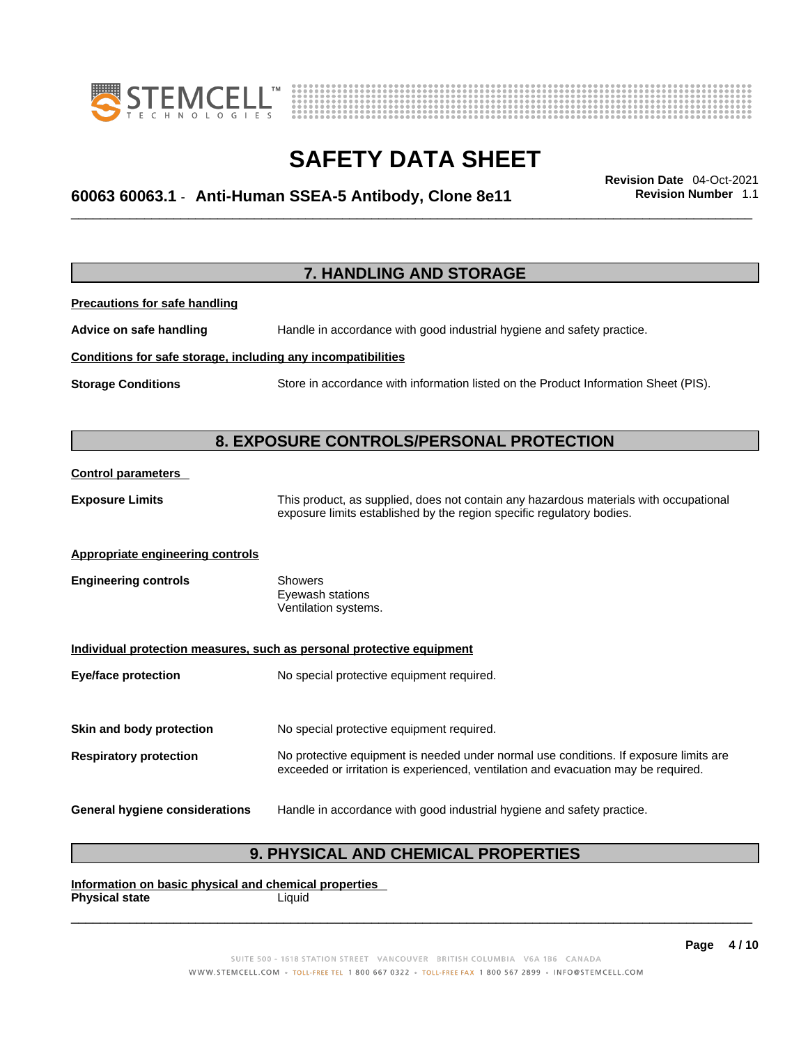



## \_\_\_\_\_\_\_\_\_\_\_\_\_\_\_\_\_\_\_\_\_\_\_\_\_\_\_\_\_\_\_\_\_\_\_\_\_\_\_\_\_\_\_\_\_\_\_\_\_\_\_\_\_\_\_\_\_\_\_\_\_\_\_\_\_\_\_\_\_\_\_\_\_\_\_\_\_\_\_\_\_\_\_\_\_\_\_\_\_\_\_\_\_ **Revision Date** 04-Oct-2021 **60063 60063.1** - **Anti-Human SSEA-5 Antibody, Clone 8e11 Revision Number** 1.1

|                                                              | 7. HANDLING AND STORAGE                                                                                                                                                     |
|--------------------------------------------------------------|-----------------------------------------------------------------------------------------------------------------------------------------------------------------------------|
| <b>Precautions for safe handling</b>                         |                                                                                                                                                                             |
| Advice on safe handling                                      | Handle in accordance with good industrial hygiene and safety practice.                                                                                                      |
| Conditions for safe storage, including any incompatibilities |                                                                                                                                                                             |
| <b>Storage Conditions</b>                                    | Store in accordance with information listed on the Product Information Sheet (PIS).                                                                                         |
|                                                              |                                                                                                                                                                             |
|                                                              | 8. EXPOSURE CONTROLS/PERSONAL PROTECTION                                                                                                                                    |
| <b>Control parameters</b>                                    |                                                                                                                                                                             |
| <b>Exposure Limits</b>                                       | This product, as supplied, does not contain any hazardous materials with occupational<br>exposure limits established by the region specific regulatory bodies.              |
| <b>Appropriate engineering controls</b>                      |                                                                                                                                                                             |
| <b>Engineering controls</b>                                  | <b>Showers</b><br>Eyewash stations<br>Ventilation systems.                                                                                                                  |
|                                                              | Individual protection measures, such as personal protective equipment                                                                                                       |
| <b>Eye/face protection</b>                                   | No special protective equipment required.                                                                                                                                   |
| Skin and body protection                                     |                                                                                                                                                                             |
|                                                              | No special protective equipment required.                                                                                                                                   |
| <b>Respiratory protection</b>                                | No protective equipment is needed under normal use conditions. If exposure limits are<br>exceeded or irritation is experienced, ventilation and evacuation may be required. |
| General hygiene considerations                               | Handle in accordance with good industrial hygiene and safety practice.                                                                                                      |

### **9. PHYSICAL AND CHEMICAL PROPERTIES**

**Information on basic physical and chemical properties Physical state** Liquid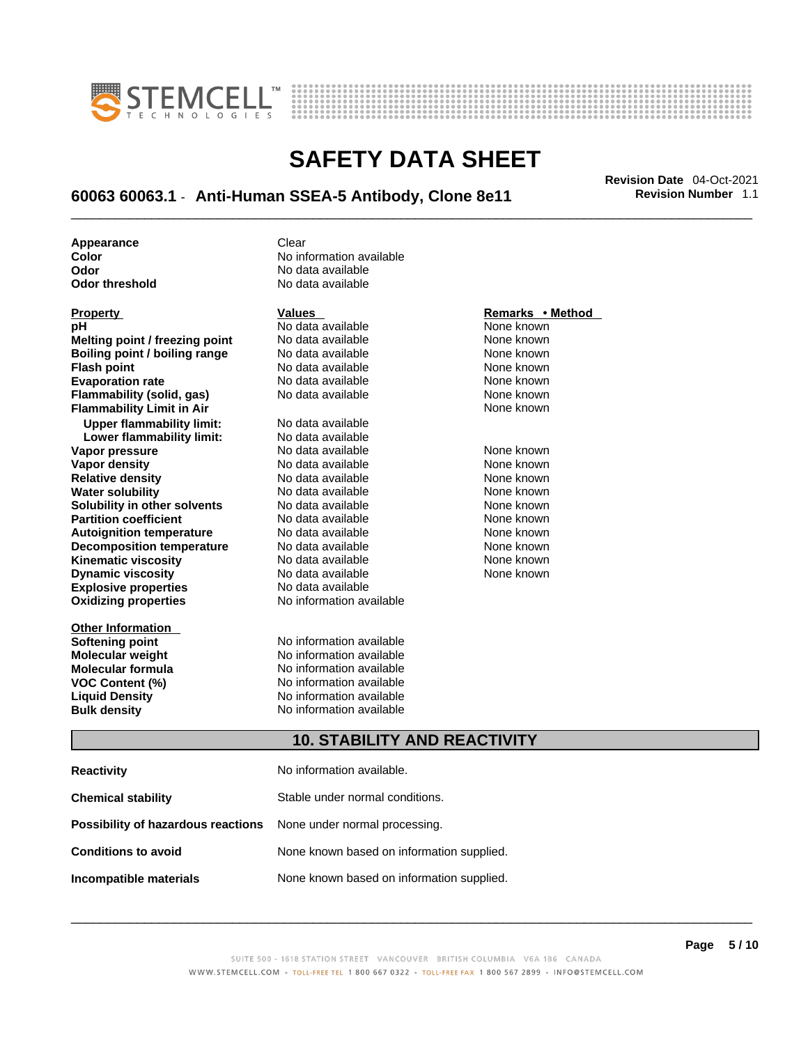



## \_\_\_\_\_\_\_\_\_\_\_\_\_\_\_\_\_\_\_\_\_\_\_\_\_\_\_\_\_\_\_\_\_\_\_\_\_\_\_\_\_\_\_\_\_\_\_\_\_\_\_\_\_\_\_\_\_\_\_\_\_\_\_\_\_\_\_\_\_\_\_\_\_\_\_\_\_\_\_\_\_\_\_\_\_\_\_\_\_\_\_\_\_ **Revision Date** 04-Oct-2021 **60063 60063.1** - **Anti-Human SSEA-5 Antibody, Clone 8e11 Revision Number** 1.1

**Appearance Clear** 

| <b>Property</b>                  | Values                   | Remarks • Method |
|----------------------------------|--------------------------|------------------|
| рH                               | No data available        | None known       |
| Melting point / freezing point   | No data available        | None known       |
| Boiling point / boiling range    | No data available        | None known       |
| <b>Flash point</b>               | No data available        | None known       |
| <b>Evaporation rate</b>          | No data available        | None known       |
| Flammability (solid, gas)        | No data available        | None known       |
| <b>Flammability Limit in Air</b> |                          | None known       |
| <b>Upper flammability limit:</b> | No data available        |                  |
| Lower flammability limit:        | No data available        |                  |
| Vapor pressure                   | No data available        | None known       |
| Vapor density                    | No data available        | None known       |
| <b>Relative density</b>          | No data available        | None known       |
| <b>Water solubility</b>          | No data available        | None known       |
| Solubility in other solvents     | No data available        | None known       |
| <b>Partition coefficient</b>     | No data available        | None known       |
| <b>Autoignition temperature</b>  | No data available        | None known       |
| <b>Decomposition temperature</b> | No data available        | None known       |
| <b>Kinematic viscosity</b>       | No data available        | None known       |
| <b>Dynamic viscosity</b>         | No data available        | None known       |
| <b>Explosive properties</b>      | No data available        |                  |
| <b>Oxidizing properties</b>      | No information available |                  |

**Other Information** 

**Color Color Color** No information available<br>
No data available<br>
No data available **Odor No data available**<br> **Odor threshold No data available No data available** 

**Softening point**<br> **Molecular weight**<br> **Molecular weight**<br> **Molecular weight**<br> **Molecular weight No information available Molecular formula** No information available **VOC Content (%)**<br> **Content (%)**<br>
No information available<br>
No information available **No information available Bulk density No information available** 

#### **10. STABILITY AND REACTIVITY**

| <b>Reactivity</b>                                                       | No information available.                 |
|-------------------------------------------------------------------------|-------------------------------------------|
| <b>Chemical stability</b>                                               | Stable under normal conditions.           |
| <b>Possibility of hazardous reactions</b> None under normal processing. |                                           |
| <b>Conditions to avoid</b>                                              | None known based on information supplied. |
| Incompatible materials                                                  | None known based on information supplied. |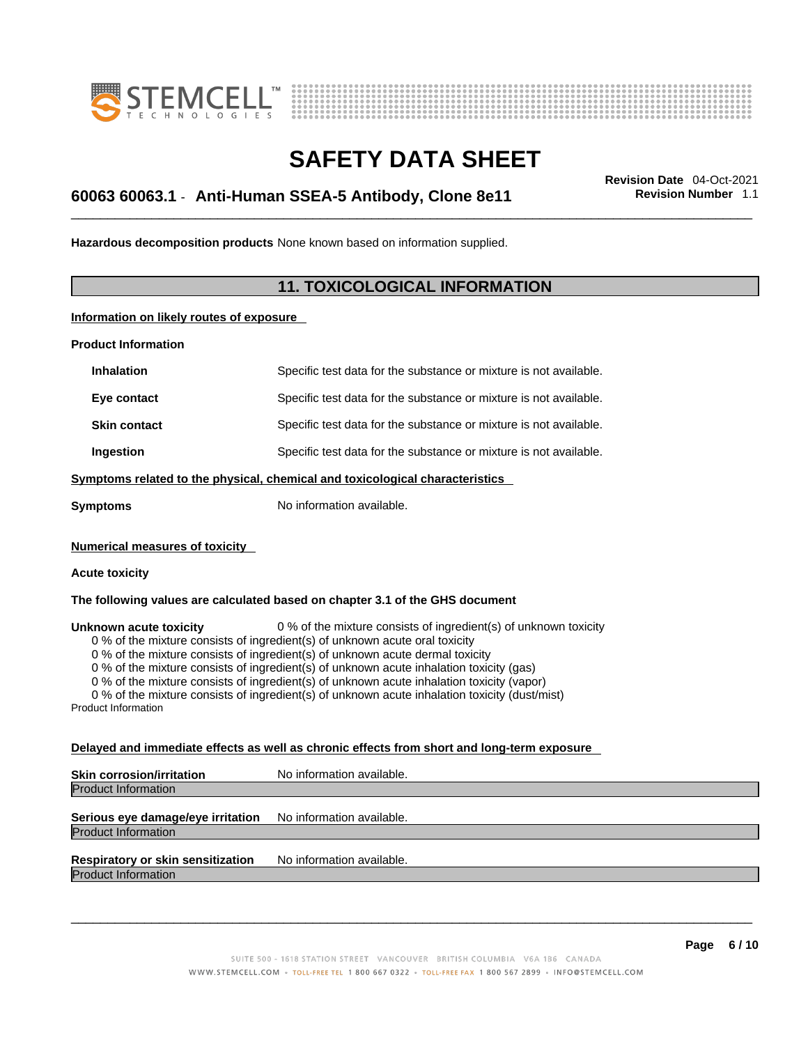



## \_\_\_\_\_\_\_\_\_\_\_\_\_\_\_\_\_\_\_\_\_\_\_\_\_\_\_\_\_\_\_\_\_\_\_\_\_\_\_\_\_\_\_\_\_\_\_\_\_\_\_\_\_\_\_\_\_\_\_\_\_\_\_\_\_\_\_\_\_\_\_\_\_\_\_\_\_\_\_\_\_\_\_\_\_\_\_\_\_\_\_\_\_ **Revision Date** 04-Oct-2021 **60063 60063.1** - **Anti-Human SSEA-5 Antibody, Clone 8e11 Revision Number** 1.1

**Hazardous decomposition products** None known based on information supplied.

### **11. TOXICOLOGICAL INFORMATION**

**Information on likely routes of exposure**

**Product Information**

| <b>Inhalation</b>                                                            | Specific test data for the substance or mixture is not available. |  |
|------------------------------------------------------------------------------|-------------------------------------------------------------------|--|
| Eye contact                                                                  | Specific test data for the substance or mixture is not available. |  |
| <b>Skin contact</b>                                                          | Specific test data for the substance or mixture is not available. |  |
| Ingestion                                                                    | Specific test data for the substance or mixture is not available. |  |
| Symptoms related to the physical, chemical and toxicological characteristics |                                                                   |  |
| Symptoms                                                                     | No information available.                                         |  |

**Numerical measures of toxicity**

#### **Acute toxicity**

**The following values are calculated based on chapter 3.1 of the GHS document**

**Unknown acute toxicity** 0 % of the mixture consists of ingredient(s) of unknown toxicity

0 % of the mixture consists of ingredient(s) of unknown acute oral toxicity

0 % of the mixture consists of ingredient(s) of unknown acute dermal toxicity

0 % of the mixture consists of ingredient(s) of unknown acute inhalation toxicity (gas)

0 % of the mixture consists of ingredient(s) of unknown acute inhalation toxicity (vapor)

0 % of the mixture consists of ingredient(s) of unknown acute inhalation toxicity (dust/mist)

Product Information

#### **Delayed and immediate effects as well as chronic effects from short and long-term exposure**

**Skin corrosion/irritation** No information available. Product Information

#### **Serious eye damage/eye irritation** No information available. Product Information

**Respiratory or skin sensitization** No information available.

Product Information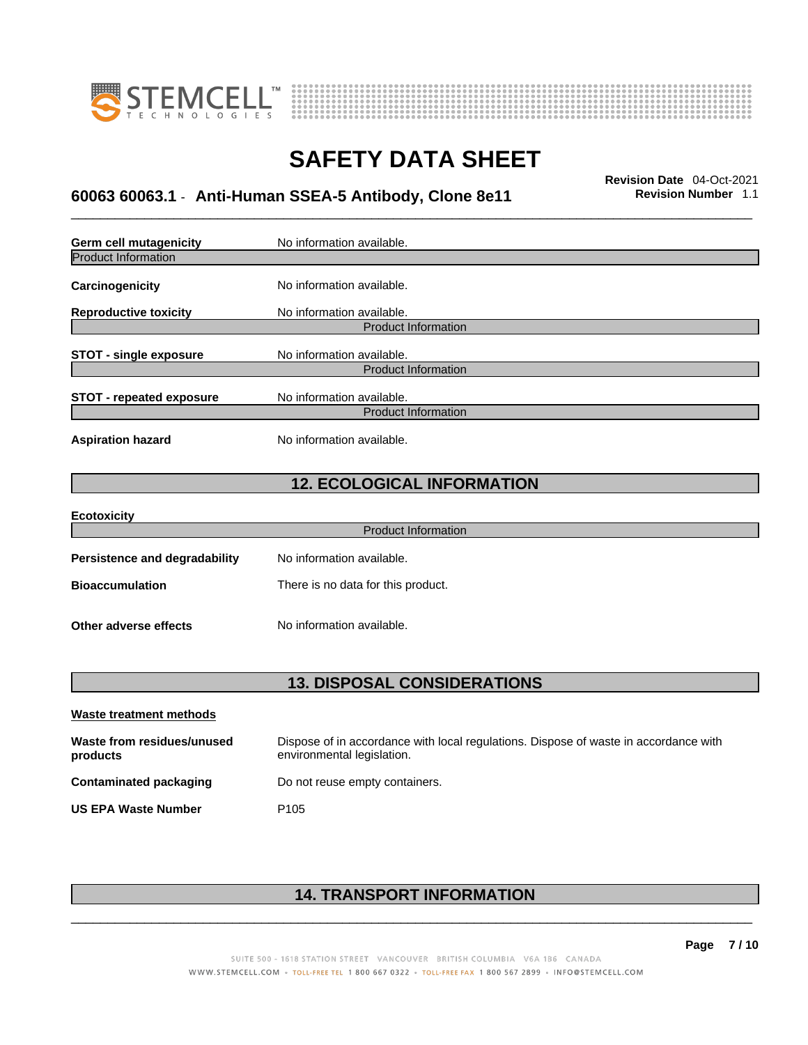



## \_\_\_\_\_\_\_\_\_\_\_\_\_\_\_\_\_\_\_\_\_\_\_\_\_\_\_\_\_\_\_\_\_\_\_\_\_\_\_\_\_\_\_\_\_\_\_\_\_\_\_\_\_\_\_\_\_\_\_\_\_\_\_\_\_\_\_\_\_\_\_\_\_\_\_\_\_\_\_\_\_\_\_\_\_\_\_\_\_\_\_\_\_ **Revision Date** 04-Oct-2021 **60063 60063.1** - **Anti-Human SSEA-5 Antibody, Clone 8e11 Revision Number** 1.1

| <b>Germ cell mutagenicity</b>        | No information available.          |
|--------------------------------------|------------------------------------|
| <b>Product Information</b>           |                                    |
| Carcinogenicity                      | No information available.          |
| <b>Reproductive toxicity</b>         | No information available.          |
|                                      | <b>Product Information</b>         |
| <b>STOT - single exposure</b>        | No information available.          |
|                                      | <b>Product Information</b>         |
| <b>STOT - repeated exposure</b>      | No information available.          |
|                                      | <b>Product Information</b>         |
| <b>Aspiration hazard</b>             | No information available.          |
|                                      | <b>12. ECOLOGICAL INFORMATION</b>  |
| <b>Ecotoxicity</b>                   |                                    |
|                                      | <b>Product Information</b>         |
| <b>Persistence and degradability</b> | No information available.          |
| <b>Bioaccumulation</b>               | There is no data for this product. |
| Other adverse effects                | No information available.          |
|                                      |                                    |

| <b>13. DISPOSAL CONSIDERATIONS</b> |  |
|------------------------------------|--|
|                                    |  |

| Waste treatment methods                |                                                                                                                    |
|----------------------------------------|--------------------------------------------------------------------------------------------------------------------|
| Waste from residues/unused<br>products | Dispose of in accordance with local regulations. Dispose of waste in accordance with<br>environmental legislation. |
| Contaminated packaging                 | Do not reuse empty containers.                                                                                     |
| <b>US EPA Waste Number</b>             | P <sub>105</sub>                                                                                                   |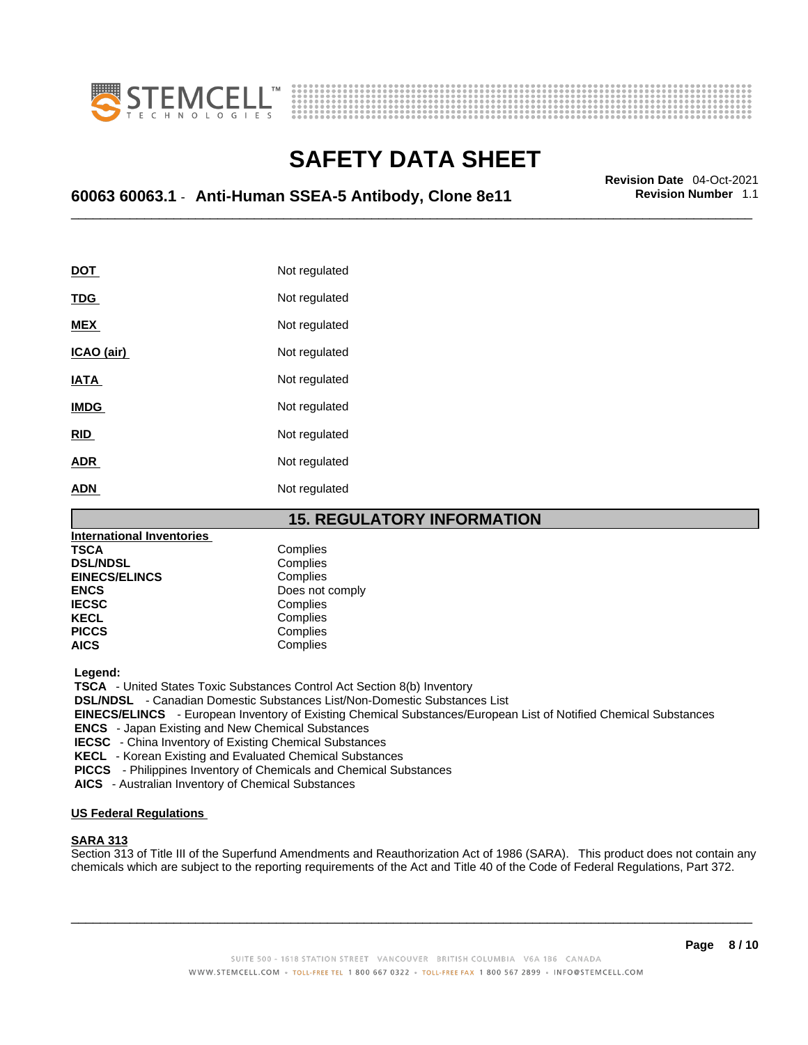



## \_\_\_\_\_\_\_\_\_\_\_\_\_\_\_\_\_\_\_\_\_\_\_\_\_\_\_\_\_\_\_\_\_\_\_\_\_\_\_\_\_\_\_\_\_\_\_\_\_\_\_\_\_\_\_\_\_\_\_\_\_\_\_\_\_\_\_\_\_\_\_\_\_\_\_\_\_\_\_\_\_\_\_\_\_\_\_\_\_\_\_\_\_ **Revision Date** 04-Oct-2021 **60063 60063.1** - **Anti-Human SSEA-5 Antibody, Clone 8e11 Revision Number** 1.1

| <u>DOT</u>  | Not regulated |
|-------------|---------------|
| <b>TDG</b>  | Not regulated |
| <b>MEX</b>  | Not regulated |
| ICAO (air)  | Not regulated |
| <b>IATA</b> | Not regulated |
| <b>IMDG</b> | Not regulated |
| <b>RID</b>  | Not regulated |
| <b>ADR</b>  | Not regulated |
| <b>ADN</b>  | Not regulated |

#### **15. REGULATORY INFORMATION**

| <b>International Inventories</b> |                 |  |
|----------------------------------|-----------------|--|
| <b>TSCA</b>                      | Complies        |  |
| <b>DSL/NDSL</b>                  | Complies        |  |
| <b>EINECS/ELINCS</b>             | Complies        |  |
| <b>ENCS</b>                      | Does not comply |  |
| <b>IECSC</b>                     | Complies        |  |
| <b>KECL</b>                      | Complies        |  |
| <b>PICCS</b>                     | Complies        |  |
| <b>AICS</b>                      | Complies        |  |

 **Legend:** 

 **TSCA** - United States Toxic Substances Control Act Section 8(b) Inventory

 **DSL/NDSL** - Canadian Domestic Substances List/Non-Domestic Substances List

 **EINECS/ELINCS** - European Inventory of Existing Chemical Substances/European List of Notified Chemical Substances

 **ENCS** - Japan Existing and New Chemical Substances

 **IECSC** - China Inventory of Existing Chemical Substances

 **KECL** - Korean Existing and Evaluated Chemical Substances

 **PICCS** - Philippines Inventory of Chemicals and Chemical Substances

 **AICS** - Australian Inventory of Chemical Substances

#### **US Federal Regulations**

#### **SARA 313**

Section 313 of Title III of the Superfund Amendments and Reauthorization Act of 1986 (SARA). This product does not contain any chemicals which are subject to the reporting requirements of the Act and Title 40 of the Code of Federal Regulations, Part 372.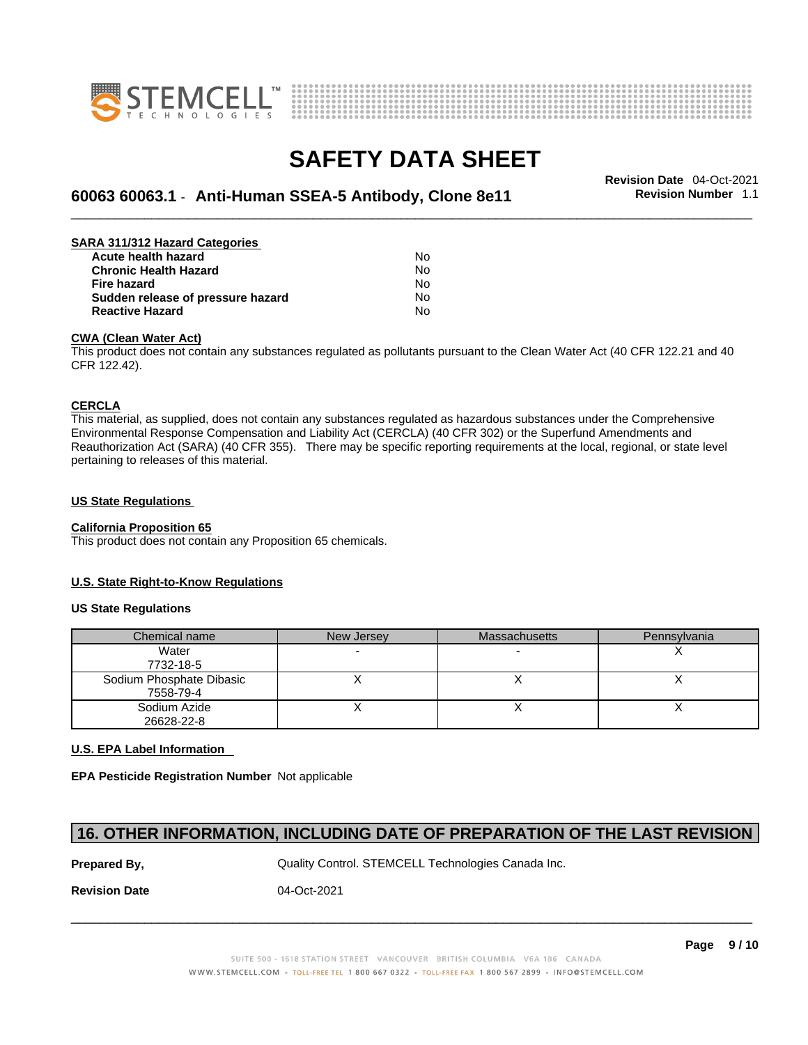



## \_\_\_\_\_\_\_\_\_\_\_\_\_\_\_\_\_\_\_\_\_\_\_\_\_\_\_\_\_\_\_\_\_\_\_\_\_\_\_\_\_\_\_\_\_\_\_\_\_\_\_\_\_\_\_\_\_\_\_\_\_\_\_\_\_\_\_\_\_\_\_\_\_\_\_\_\_\_\_\_\_\_\_\_\_\_\_\_\_\_\_\_\_ **Revision Date** 04-Oct-2021 **60063 60063.1** - **Anti-Human SSEA-5 Antibody, Clone 8e11 Revision Number** 1.1

| SARA 311/312 Hazard Categories    |    |  |
|-----------------------------------|----|--|
| Acute health hazard               | N٥ |  |
| <b>Chronic Health Hazard</b>      | No |  |
| <b>Fire hazard</b>                | No |  |
| Sudden release of pressure hazard | No |  |
| <b>Reactive Hazard</b>            | No |  |

#### **CWA (Clean WaterAct)**

This product does not contain any substances regulated as pollutants pursuant to the Clean Water Act (40 CFR 122.21 and 40 CFR 122.42).

#### **CERCLA**

This material, as supplied, does not contain any substances regulated as hazardous substances under the Comprehensive Environmental Response Compensation and Liability Act (CERCLA) (40 CFR 302) or the Superfund Amendments and Reauthorization Act (SARA) (40 CFR 355). There may be specific reporting requirements at the local, regional, or state level pertaining to releases of this material.

#### **US State Regulations**

#### **California Proposition 65**

This product does not contain any Proposition 65 chemicals.

#### **U.S. State Right-to-Know Regulations**

#### **US State Regulations**

| Chemical name            | New Jersey | <b>Massachusetts</b> | Pennsylvania |
|--------------------------|------------|----------------------|--------------|
| Water                    |            |                      |              |
| 7732-18-5                |            |                      |              |
| Sodium Phosphate Dibasic |            |                      |              |
| 7558-79-4                |            |                      |              |
| Sodium Azide             |            |                      |              |
| 26628-22-8               |            |                      |              |

#### **U.S. EPA Label Information**

**EPA Pesticide Registration Number** Not applicable

#### **16. OTHER INFORMATION, INCLUDING DATE OF PREPARATION OF THE LAST REVISION**

**Prepared By, State Control. STEMCELL Technologies Canada Inc.** Canada Inc.

 $\_$  ,  $\_$  ,  $\_$  ,  $\_$  ,  $\_$  ,  $\_$  ,  $\_$  ,  $\_$  ,  $\_$  ,  $\_$  ,  $\_$  ,  $\_$  ,  $\_$  ,  $\_$  ,  $\_$  ,  $\_$  ,  $\_$  ,  $\_$  ,  $\_$  ,  $\_$  ,  $\_$  ,  $\_$  ,  $\_$  ,  $\_$  ,  $\_$  ,  $\_$  ,  $\_$  ,  $\_$  ,  $\_$  ,  $\_$  ,  $\_$  ,  $\_$  ,  $\_$  ,  $\_$  ,  $\_$  ,  $\_$  ,  $\_$  ,

**Revision Date** 04-Oct-2021